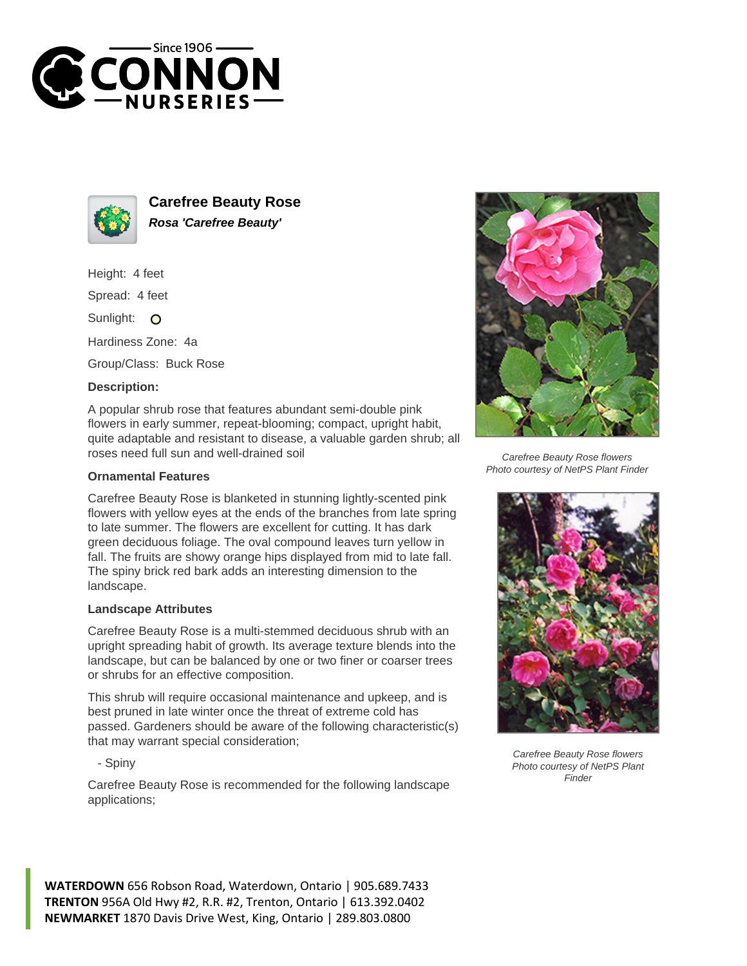



**Carefree Beauty Rose Rosa 'Carefree Beauty'**

Height: 4 feet

Spread: 4 feet

Sunlight: O

Hardiness Zone: 4a

Group/Class: Buck Rose

## **Description:**

A popular shrub rose that features abundant semi-double pink flowers in early summer, repeat-blooming; compact, upright habit, quite adaptable and resistant to disease, a valuable garden shrub; all roses need full sun and well-drained soil

## **Ornamental Features**

Carefree Beauty Rose is blanketed in stunning lightly-scented pink flowers with yellow eyes at the ends of the branches from late spring to late summer. The flowers are excellent for cutting. It has dark green deciduous foliage. The oval compound leaves turn yellow in fall. The fruits are showy orange hips displayed from mid to late fall. The spiny brick red bark adds an interesting dimension to the landscape.

## **Landscape Attributes**

Carefree Beauty Rose is a multi-stemmed deciduous shrub with an upright spreading habit of growth. Its average texture blends into the landscape, but can be balanced by one or two finer or coarser trees or shrubs for an effective composition.

This shrub will require occasional maintenance and upkeep, and is best pruned in late winter once the threat of extreme cold has passed. Gardeners should be aware of the following characteristic(s) that may warrant special consideration;

- Spiny

Carefree Beauty Rose is recommended for the following landscape applications;



Carefree Beauty Rose flowers Photo courtesy of NetPS Plant Finder



Carefree Beauty Rose flowers Photo courtesy of NetPS Plant Finder

**WATERDOWN** 656 Robson Road, Waterdown, Ontario | 905.689.7433 **TRENTON** 956A Old Hwy #2, R.R. #2, Trenton, Ontario | 613.392.0402 **NEWMARKET** 1870 Davis Drive West, King, Ontario | 289.803.0800